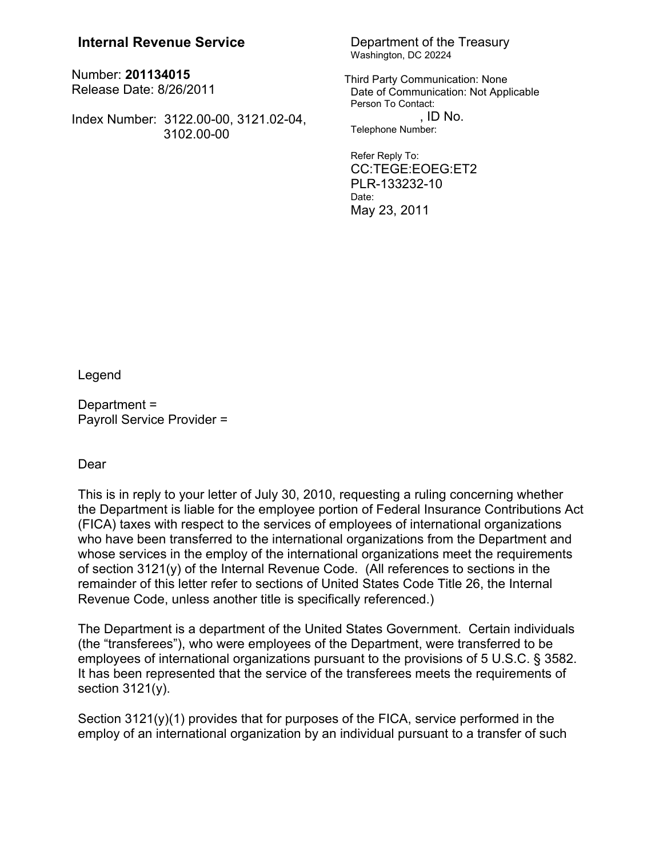## **Internal Revenue Service** Department of the Treasury

Number: **201134015** Release Date: 8/26/2011

Index Number: 3122.00-00, 3121.02-04, 3102.00-00

## Washington, DC 20224

Third Party Communication: None Date of Communication: Not Applicable Person To Contact:  $\overline{\phantom{a}}$  . ID No. Telephone Number:

Refer Reply To: CC:TEGE:EOEG:ET2 PLR-133232-10 Date: May 23, 2011

Legend

Department = Payroll Service Provider =

## Dear

This is in reply to your letter of July 30, 2010, requesting a ruling concerning whether the Department is liable for the employee portion of Federal Insurance Contributions Act (FICA) taxes with respect to the services of employees of international organizations who have been transferred to the international organizations from the Department and whose services in the employ of the international organizations meet the requirements of section 3121(y) of the Internal Revenue Code. (All references to sections in the remainder of this letter refer to sections of United States Code Title 26, the Internal Revenue Code, unless another title is specifically referenced.)

The Department is a department of the United States Government. Certain individuals (the "transferees"), who were employees of the Department, were transferred to be employees of international organizations pursuant to the provisions of 5 U.S.C. § 3582. It has been represented that the service of the transferees meets the requirements of section  $3121(y)$ .

Section  $3121(y)(1)$  provides that for purposes of the FICA, service performed in the employ of an international organization by an individual pursuant to a transfer of such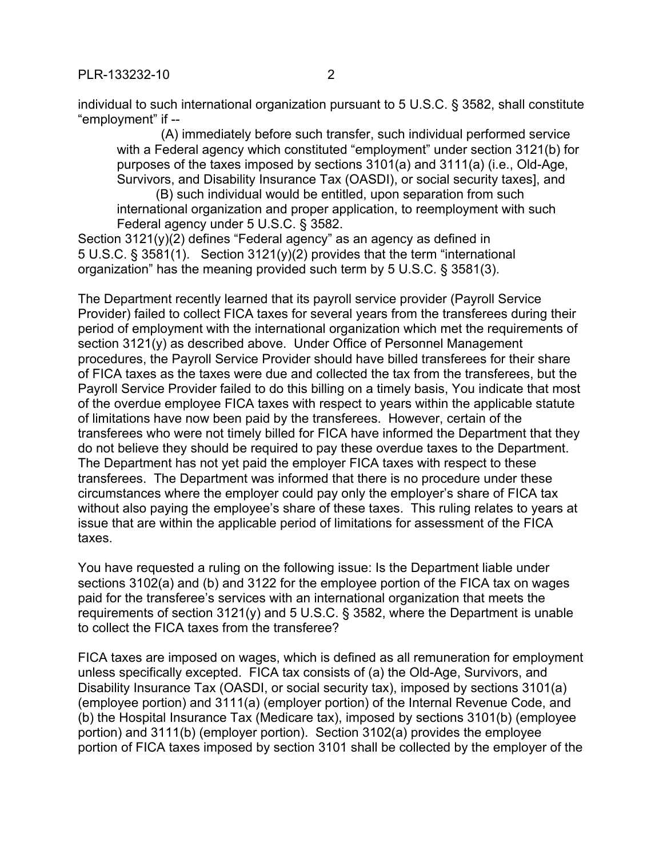PI R-133232-10 2

individual to such international organization pursuant to 5 U.S.C. § 3582, shall constitute "employment" if --

 (A) immediately before such transfer, such individual performed service with a Federal agency which constituted "employment" under section 3121(b) for purposes of the taxes imposed by sections 3101(a) and 3111(a) (i.e., Old-Age, Survivors, and Disability Insurance Tax (OASDI), or social security taxes], and

(B) such individual would be entitled, upon separation from such international organization and proper application, to reemployment with such Federal agency under 5 U.S.C. § 3582.

Section  $3121(y)(2)$  defines "Federal agency" as an agency as defined in 5 U.S.C. § 3581(1). Section 3121(y)(2) provides that the term "international organization" has the meaning provided such term by 5 U.S.C. § 3581(3).

The Department recently learned that its payroll service provider (Payroll Service Provider) failed to collect FICA taxes for several years from the transferees during their period of employment with the international organization which met the requirements of section 3121(y) as described above. Under Office of Personnel Management procedures, the Payroll Service Provider should have billed transferees for their share of FICA taxes as the taxes were due and collected the tax from the transferees, but the Payroll Service Provider failed to do this billing on a timely basis, You indicate that most of the overdue employee FICA taxes with respect to years within the applicable statute of limitations have now been paid by the transferees. However, certain of the transferees who were not timely billed for FICA have informed the Department that they do not believe they should be required to pay these overdue taxes to the Department. The Department has not yet paid the employer FICA taxes with respect to these transferees. The Department was informed that there is no procedure under these circumstances where the employer could pay only the employer's share of FICA tax without also paying the employee's share of these taxes. This ruling relates to years at issue that are within the applicable period of limitations for assessment of the FICA taxes.

You have requested a ruling on the following issue: Is the Department liable under sections 3102(a) and (b) and 3122 for the employee portion of the FICA tax on wages paid for the transferee's services with an international organization that meets the requirements of section 3121(y) and 5 U.S.C. § 3582, where the Department is unable to collect the FICA taxes from the transferee?

FICA taxes are imposed on wages, which is defined as all remuneration for employment unless specifically excepted. FICA tax consists of (a) the Old-Age, Survivors, and Disability Insurance Tax (OASDI, or social security tax), imposed by sections 3101(a) (employee portion) and 3111(a) (employer portion) of the Internal Revenue Code, and (b) the Hospital Insurance Tax (Medicare tax), imposed by sections 3101(b) (employee portion) and 3111(b) (employer portion). Section 3102(a) provides the employee portion of FICA taxes imposed by section 3101 shall be collected by the employer of the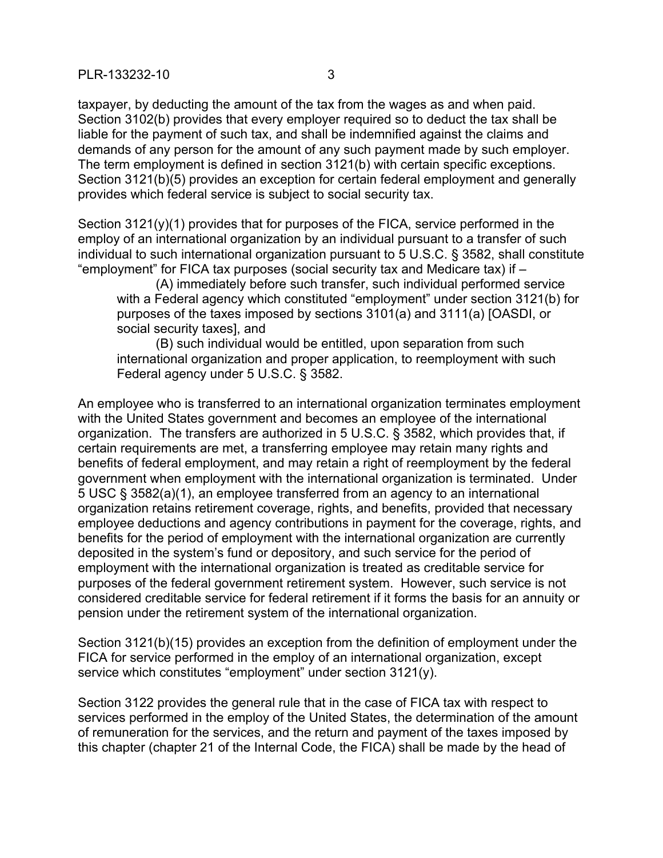PI R-133232-10 3

taxpayer, by deducting the amount of the tax from the wages as and when paid. Section 3102(b) provides that every employer required so to deduct the tax shall be liable for the payment of such tax, and shall be indemnified against the claims and demands of any person for the amount of any such payment made by such employer. The term employment is defined in section 3121(b) with certain specific exceptions. Section 3121(b)(5) provides an exception for certain federal employment and generally provides which federal service is subject to social security tax.

Section  $3121(y)(1)$  provides that for purposes of the FICA, service performed in the employ of an international organization by an individual pursuant to a transfer of such individual to such international organization pursuant to 5 U.S.C. § 3582, shall constitute "employment" for FICA tax purposes (social security tax and Medicare tax) if –

(A) immediately before such transfer, such individual performed service with a Federal agency which constituted "employment" under section 3121(b) for purposes of the taxes imposed by sections 3101(a) and 3111(a) [OASDI, or social security taxes], and

(B) such individual would be entitled, upon separation from such international organization and proper application, to reemployment with such Federal agency under 5 U.S.C. § 3582.

An employee who is transferred to an international organization terminates employment with the United States government and becomes an employee of the international organization. The transfers are authorized in 5 U.S.C. § 3582, which provides that, if certain requirements are met, a transferring employee may retain many rights and benefits of federal employment, and may retain a right of reemployment by the federal government when employment with the international organization is terminated. Under 5 USC § 3582(a)(1), an employee transferred from an agency to an international organization retains retirement coverage, rights, and benefits, provided that necessary employee deductions and agency contributions in payment for the coverage, rights, and benefits for the period of employment with the international organization are currently deposited in the system's fund or depository, and such service for the period of employment with the international organization is treated as creditable service for purposes of the federal government retirement system. However, such service is not considered creditable service for federal retirement if it forms the basis for an annuity or pension under the retirement system of the international organization.

Section 3121(b)(15) provides an exception from the definition of employment under the FICA for service performed in the employ of an international organization, except service which constitutes "employment" under section 3121(y).

Section 3122 provides the general rule that in the case of FICA tax with respect to services performed in the employ of the United States, the determination of the amount of remuneration for the services, and the return and payment of the taxes imposed by this chapter (chapter 21 of the Internal Code, the FICA) shall be made by the head of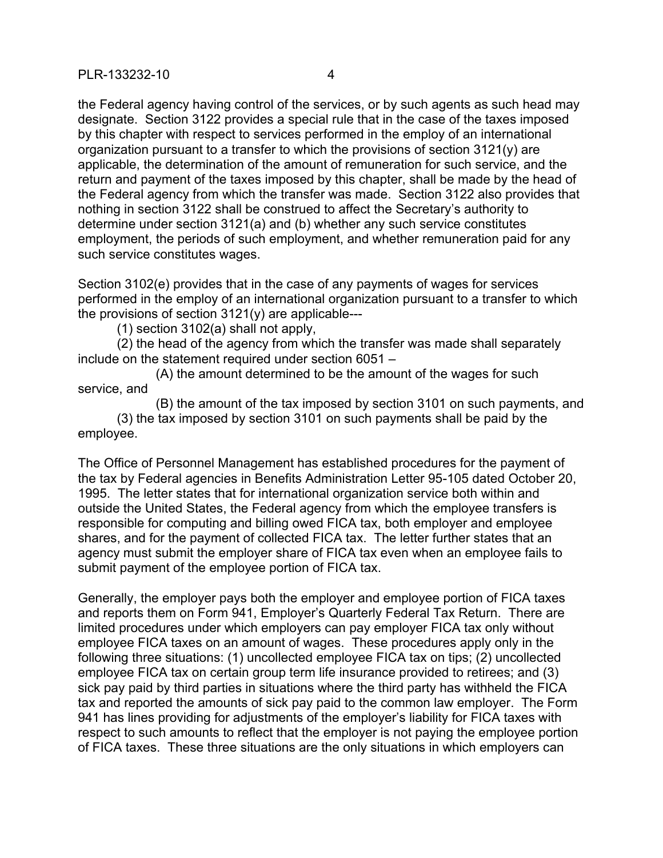PLR-133232-10 4

the Federal agency having control of the services, or by such agents as such head may designate. Section 3122 provides a special rule that in the case of the taxes imposed by this chapter with respect to services performed in the employ of an international organization pursuant to a transfer to which the provisions of section 3121(y) are applicable, the determination of the amount of remuneration for such service, and the return and payment of the taxes imposed by this chapter, shall be made by the head of the Federal agency from which the transfer was made. Section 3122 also provides that nothing in section 3122 shall be construed to affect the Secretary's authority to determine under section 3121(a) and (b) whether any such service constitutes employment, the periods of such employment, and whether remuneration paid for any such service constitutes wages.

Section 3102(e) provides that in the case of any payments of wages for services performed in the employ of an international organization pursuant to a transfer to which the provisions of section  $3121(y)$  are applicable---

(1) section 3102(a) shall not apply,

(2) the head of the agency from which the transfer was made shall separately include on the statement required under section 6051 –

(A) the amount determined to be the amount of the wages for such service, and

(B) the amount of the tax imposed by section 3101 on such payments, and (3) the tax imposed by section 3101 on such payments shall be paid by the employee.

The Office of Personnel Management has established procedures for the payment of the tax by Federal agencies in Benefits Administration Letter 95-105 dated October 20, 1995. The letter states that for international organization service both within and outside the United States, the Federal agency from which the employee transfers is responsible for computing and billing owed FICA tax, both employer and employee shares, and for the payment of collected FICA tax. The letter further states that an agency must submit the employer share of FICA tax even when an employee fails to submit payment of the employee portion of FICA tax.

Generally, the employer pays both the employer and employee portion of FICA taxes and reports them on Form 941, Employer's Quarterly Federal Tax Return. There are limited procedures under which employers can pay employer FICA tax only without employee FICA taxes on an amount of wages. These procedures apply only in the following three situations: (1) uncollected employee FICA tax on tips; (2) uncollected employee FICA tax on certain group term life insurance provided to retirees; and (3) sick pay paid by third parties in situations where the third party has withheld the FICA tax and reported the amounts of sick pay paid to the common law employer. The Form 941 has lines providing for adjustments of the employer's liability for FICA taxes with respect to such amounts to reflect that the employer is not paying the employee portion of FICA taxes. These three situations are the only situations in which employers can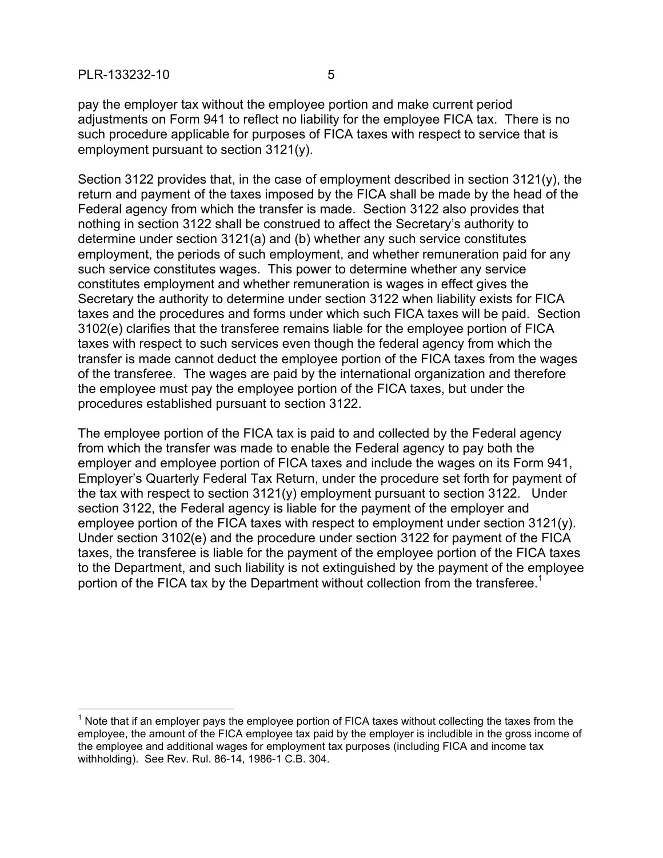$\overline{a}$ 

pay the employer tax without the employee portion and make current period adjustments on Form 941 to reflect no liability for the employee FICA tax. There is no such procedure applicable for purposes of FICA taxes with respect to service that is employment pursuant to section 3121(y).

Section 3122 provides that, in the case of employment described in section 3121(y), the return and payment of the taxes imposed by the FICA shall be made by the head of the Federal agency from which the transfer is made. Section 3122 also provides that nothing in section 3122 shall be construed to affect the Secretary's authority to determine under section 3121(a) and (b) whether any such service constitutes employment, the periods of such employment, and whether remuneration paid for any such service constitutes wages. This power to determine whether any service constitutes employment and whether remuneration is wages in effect gives the Secretary the authority to determine under section 3122 when liability exists for FICA taxes and the procedures and forms under which such FICA taxes will be paid. Section 3102(e) clarifies that the transferee remains liable for the employee portion of FICA taxes with respect to such services even though the federal agency from which the transfer is made cannot deduct the employee portion of the FICA taxes from the wages of the transferee. The wages are paid by the international organization and therefore the employee must pay the employee portion of the FICA taxes, but under the procedures established pursuant to section 3122.

The employee portion of the FICA tax is paid to and collected by the Federal agency from which the transfer was made to enable the Federal agency to pay both the employer and employee portion of FICA taxes and include the wages on its Form 941, Employer's Quarterly Federal Tax Return, under the procedure set forth for payment of the tax with respect to section 3121(y) employment pursuant to section 3122. Under section 3122, the Federal agency is liable for the payment of the employer and employee portion of the FICA taxes with respect to employment under section 3121(y). Under section 3102(e) and the procedure under section 3122 for payment of the FICA taxes, the transferee is liable for the payment of the employee portion of the FICA taxes to the Department, and such liability is not extinguished by the payment of the employee portion of the FICA tax by the Department without collection from the transferee.<sup>1</sup>

 $1$  Note that if an employer pays the employee portion of FICA taxes without collecting the taxes from the employee, the amount of the FICA employee tax paid by the employer is includible in the gross income of the employee and additional wages for employment tax purposes (including FICA and income tax withholding). See Rev. Rul. 86-14, 1986-1 C.B. 304.